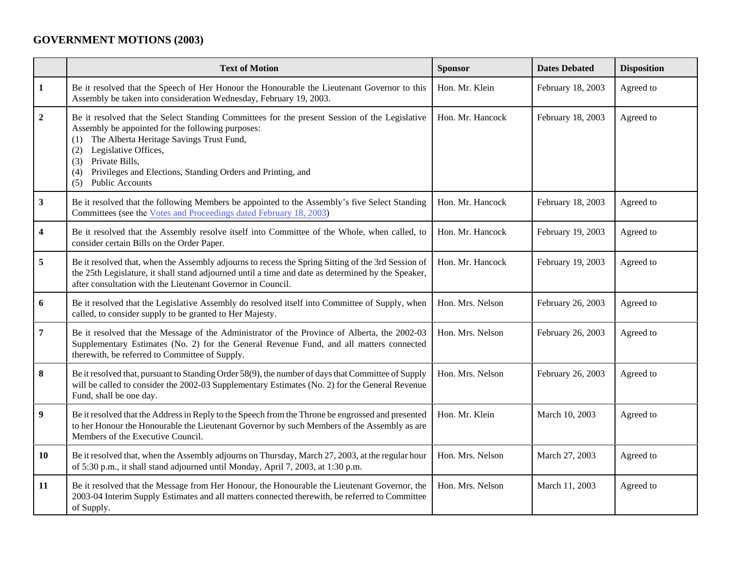## **GOVERNMENT MOTIONS (2003)**

|                | <b>Text of Motion</b>                                                                                                                                                                                                                                                                                                                                                | <b>Sponsor</b>   | <b>Dates Debated</b> | <b>Disposition</b> |
|----------------|----------------------------------------------------------------------------------------------------------------------------------------------------------------------------------------------------------------------------------------------------------------------------------------------------------------------------------------------------------------------|------------------|----------------------|--------------------|
| $\mathbf{1}$   | Be it resolved that the Speech of Her Honour the Honourable the Lieutenant Governor to this<br>Assembly be taken into consideration Wednesday, February 19, 2003.                                                                                                                                                                                                    | Hon. Mr. Klein   | February 18, 2003    | Agreed to          |
| $\overline{2}$ | Be it resolved that the Select Standing Committees for the present Session of the Legislative<br>Assembly be appointed for the following purposes:<br>The Alberta Heritage Savings Trust Fund,<br>(1)<br>Legislative Offices,<br>(2)<br>Private Bills,<br>(3)<br>Privileges and Elections, Standing Orders and Printing, and<br>(4)<br><b>Public Accounts</b><br>(5) | Hon. Mr. Hancock | February 18, 2003    | Agreed to          |
| $\mathbf{3}$   | Be it resolved that the following Members be appointed to the Assembly's five Select Standing<br>Committees (see the Votes and Proceedings dated February 18, 2003)                                                                                                                                                                                                  | Hon. Mr. Hancock | February 18, 2003    | Agreed to          |
| 4              | Be it resolved that the Assembly resolve itself into Committee of the Whole, when called, to<br>consider certain Bills on the Order Paper.                                                                                                                                                                                                                           | Hon. Mr. Hancock | February 19, 2003    | Agreed to          |
| 5              | Be it resolved that, when the Assembly adjourns to recess the Spring Sitting of the 3rd Session of<br>the 25th Legislature, it shall stand adjourned until a time and date as determined by the Speaker,<br>after consultation with the Lieutenant Governor in Council.                                                                                              | Hon. Mr. Hancock | February 19, 2003    | Agreed to          |
| 6              | Be it resolved that the Legislative Assembly do resolved itself into Committee of Supply, when<br>called, to consider supply to be granted to Her Majesty.                                                                                                                                                                                                           | Hon. Mrs. Nelson | February 26, 2003    | Agreed to          |
| $\overline{7}$ | Be it resolved that the Message of the Administrator of the Province of Alberta, the 2002-03<br>Supplementary Estimates (No. 2) for the General Revenue Fund, and all matters connected<br>therewith, be referred to Committee of Supply.                                                                                                                            | Hon. Mrs. Nelson | February 26, 2003    | Agreed to          |
| 8              | Be it resolved that, pursuant to Standing Order 58(9), the number of days that Committee of Supply<br>will be called to consider the 2002-03 Supplementary Estimates (No. 2) for the General Revenue<br>Fund, shall be one day.                                                                                                                                      | Hon. Mrs. Nelson | February 26, 2003    | Agreed to          |
| 9              | Be it resolved that the Address in Reply to the Speech from the Throne be engrossed and presented<br>to her Honour the Honourable the Lieutenant Governor by such Members of the Assembly as are<br>Members of the Executive Council.                                                                                                                                | Hon. Mr. Klein   | March 10, 2003       | Agreed to          |
| 10             | Be it resolved that, when the Assembly adjourns on Thursday, March 27, 2003, at the regular hour<br>of 5:30 p.m., it shall stand adjourned until Monday, April 7, 2003, at 1:30 p.m.                                                                                                                                                                                 | Hon. Mrs. Nelson | March 27, 2003       | Agreed to          |
| 11             | Be it resolved that the Message from Her Honour, the Honourable the Lieutenant Governor, the<br>2003-04 Interim Supply Estimates and all matters connected therewith, be referred to Committee<br>of Supply.                                                                                                                                                         | Hon. Mrs. Nelson | March 11, 2003       | Agreed to          |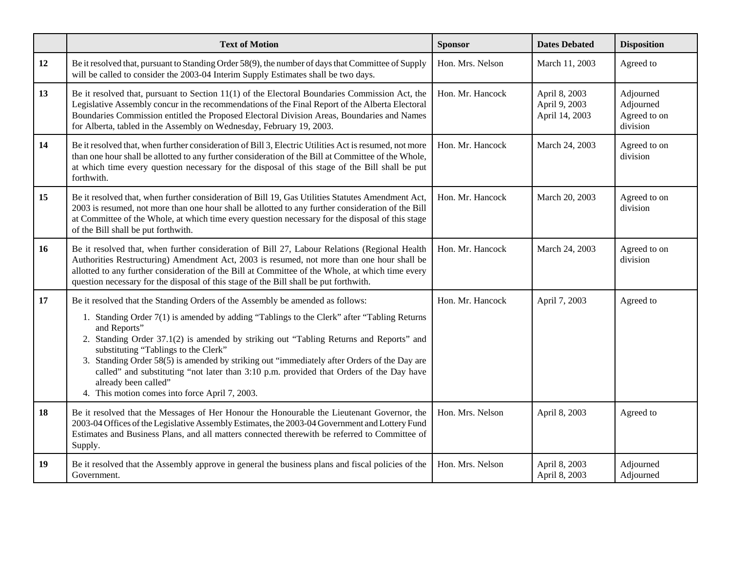|    | <b>Text of Motion</b>                                                                                                                                                                                                                                                                                                                                                                                                                                                                                                                                                                               | <b>Sponsor</b>   | <b>Dates Debated</b>                             | <b>Disposition</b>                                 |
|----|-----------------------------------------------------------------------------------------------------------------------------------------------------------------------------------------------------------------------------------------------------------------------------------------------------------------------------------------------------------------------------------------------------------------------------------------------------------------------------------------------------------------------------------------------------------------------------------------------------|------------------|--------------------------------------------------|----------------------------------------------------|
| 12 | Be it resolved that, pursuant to Standing Order 58(9), the number of days that Committee of Supply<br>will be called to consider the 2003-04 Interim Supply Estimates shall be two days.                                                                                                                                                                                                                                                                                                                                                                                                            | Hon. Mrs. Nelson | March 11, 2003                                   | Agreed to                                          |
| 13 | Be it resolved that, pursuant to Section $11(1)$ of the Electoral Boundaries Commission Act, the<br>Legislative Assembly concur in the recommendations of the Final Report of the Alberta Electoral<br>Boundaries Commission entitled the Proposed Electoral Division Areas, Boundaries and Names<br>for Alberta, tabled in the Assembly on Wednesday, February 19, 2003.                                                                                                                                                                                                                           | Hon. Mr. Hancock | April 8, 2003<br>April 9, 2003<br>April 14, 2003 | Adjourned<br>Adjourned<br>Agreed to on<br>division |
| 14 | Be it resolved that, when further consideration of Bill 3, Electric Utilities Act is resumed, not more<br>than one hour shall be allotted to any further consideration of the Bill at Committee of the Whole,<br>at which time every question necessary for the disposal of this stage of the Bill shall be put<br>forthwith.                                                                                                                                                                                                                                                                       | Hon. Mr. Hancock | March 24, 2003                                   | Agreed to on<br>division                           |
| 15 | Be it resolved that, when further consideration of Bill 19, Gas Utilities Statutes Amendment Act,<br>2003 is resumed, not more than one hour shall be allotted to any further consideration of the Bill<br>at Committee of the Whole, at which time every question necessary for the disposal of this stage<br>of the Bill shall be put forthwith.                                                                                                                                                                                                                                                  | Hon. Mr. Hancock | March 20, 2003                                   | Agreed to on<br>division                           |
| 16 | Be it resolved that, when further consideration of Bill 27, Labour Relations (Regional Health<br>Authorities Restructuring) Amendment Act, 2003 is resumed, not more than one hour shall be<br>allotted to any further consideration of the Bill at Committee of the Whole, at which time every<br>question necessary for the disposal of this stage of the Bill shall be put forthwith.                                                                                                                                                                                                            | Hon. Mr. Hancock | March 24, 2003                                   | Agreed to on<br>division                           |
| 17 | Be it resolved that the Standing Orders of the Assembly be amended as follows:<br>1. Standing Order 7(1) is amended by adding "Tablings to the Clerk" after "Tabling Returns"<br>and Reports"<br>2. Standing Order 37.1(2) is amended by striking out "Tabling Returns and Reports" and<br>substituting "Tablings to the Clerk"<br>3. Standing Order 58(5) is amended by striking out "immediately after Orders of the Day are<br>called" and substituting "not later than 3:10 p.m. provided that Orders of the Day have<br>already been called"<br>4. This motion comes into force April 7, 2003. | Hon. Mr. Hancock | April 7, 2003                                    | Agreed to                                          |
| 18 | Be it resolved that the Messages of Her Honour the Honourable the Lieutenant Governor, the<br>2003-04 Offices of the Legislative Assembly Estimates, the 2003-04 Government and Lottery Fund<br>Estimates and Business Plans, and all matters connected therewith be referred to Committee of<br>Supply.                                                                                                                                                                                                                                                                                            | Hon. Mrs. Nelson | April 8, 2003                                    | Agreed to                                          |
| 19 | Be it resolved that the Assembly approve in general the business plans and fiscal policies of the<br>Government.                                                                                                                                                                                                                                                                                                                                                                                                                                                                                    | Hon. Mrs. Nelson | April 8, 2003<br>April 8, 2003                   | Adjourned<br>Adjourned                             |